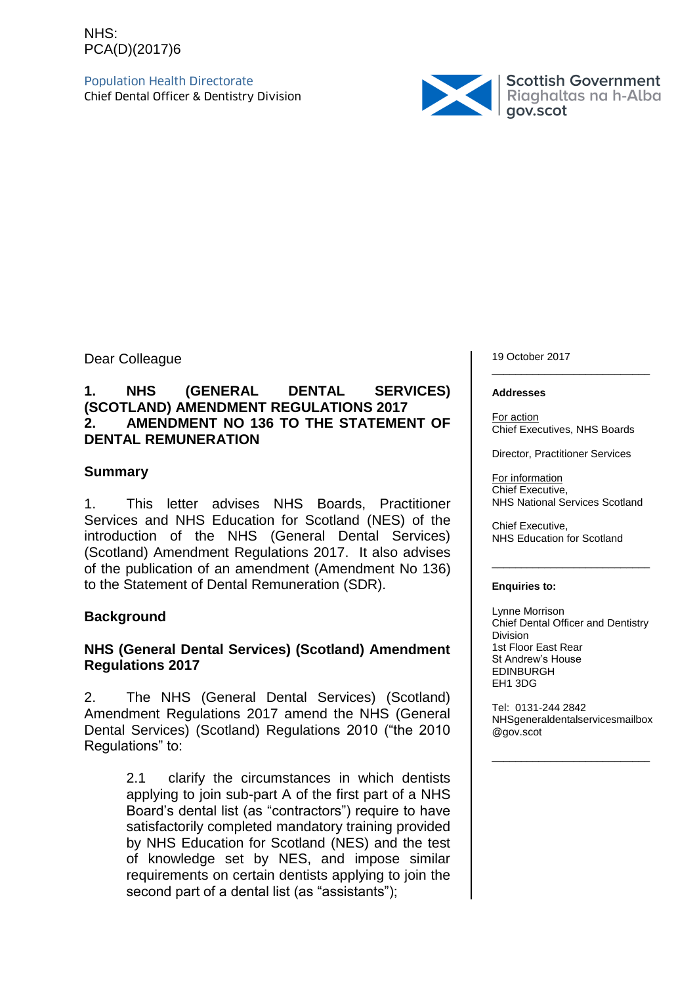### NHS: PCA(D)(2017)6

Population Health Directorate



Dear Colleague

#### **1. NHS (GENERAL DENTAL SERVICES) (SCOTLAND) AMENDMENT REGULATIONS 2017 2. AMENDMENT NO 136 TO THE STATEMENT OF DENTAL REMUNERATION**

#### **Summary**

1. This letter advises NHS Boards, Practitioner Services and NHS Education for Scotland (NES) of the introduction of the NHS (General Dental Services) (Scotland) Amendment Regulations 2017. It also advises of the publication of an amendment (Amendment No 136) to the Statement of Dental Remuneration (SDR).

### **Background**

#### **NHS (General Dental Services) (Scotland) Amendment Regulations 2017**

2. The NHS (General Dental Services) (Scotland) Amendment Regulations 2017 amend the NHS (General Dental Services) (Scotland) Regulations 2010 ("the 2010 Regulations" to:

> 2.1 clarify the circumstances in which dentists applying to join sub-part A of the first part of a NHS Board's dental list (as "contractors") require to have satisfactorily completed mandatory training provided by NHS Education for Scotland (NES) and the test of knowledge set by NES, and impose similar requirements on certain dentists applying to join the second part of a dental list (as "assistants");

19 October 2017 \_\_\_\_\_\_\_\_\_\_\_\_\_\_\_\_\_\_\_\_\_\_\_\_\_\_\_

#### **Addresses**

For action Chief Executives, NHS Boards

Director, Practitioner Services

For information Chief Executive, NHS National Services Scotland

\_\_\_\_\_\_\_\_\_\_\_\_\_\_\_\_\_\_\_\_\_\_\_\_\_\_\_

Chief Executive, NHS Education for Scotland

#### **Enquiries to:**

Lynne Morrison Chief Dental Officer and Dentistry Division 1st Floor East Rear St Andrew's House EDINBURGH EH1 3DG

Tel: 0131-244 2842 NHSgeneraldentalservicesmailbox @gov.scot

\_\_\_\_\_\_\_\_\_\_\_\_\_\_\_\_\_\_\_\_\_\_\_\_\_\_\_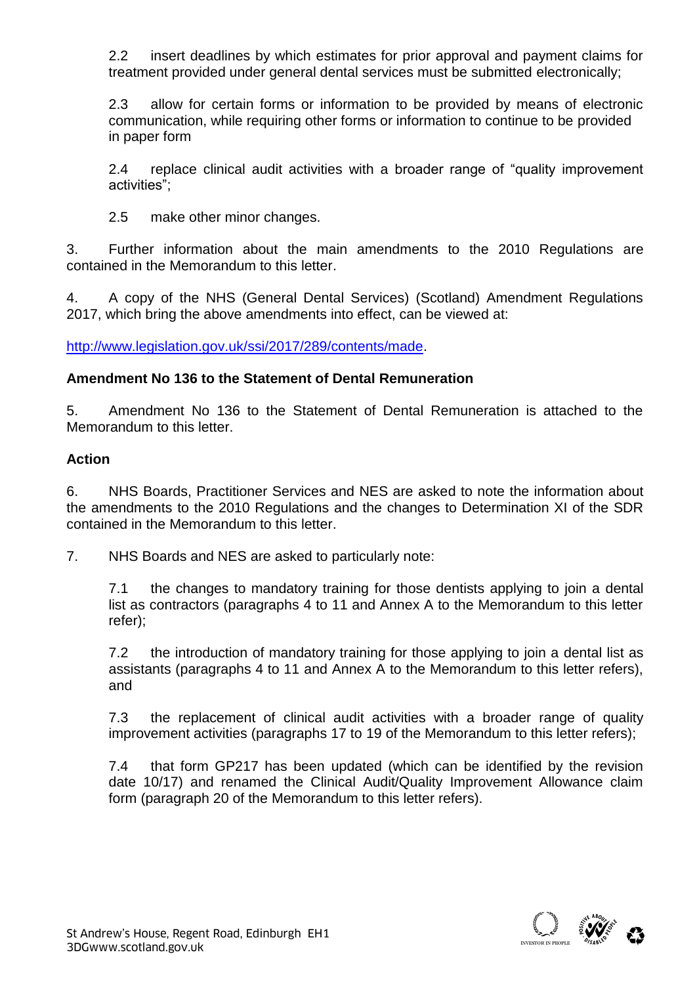2.2 insert deadlines by which estimates for prior approval and payment claims for treatment provided under general dental services must be submitted electronically;

2.3 allow for certain forms or information to be provided by means of electronic communication, while requiring other forms or information to continue to be provided in paper form

2.4 replace clinical audit activities with a broader range of "quality improvement activities";

2.5 make other minor changes.

3. Further information about the main amendments to the 2010 Regulations are contained in the Memorandum to this letter.

4. A copy of the NHS (General Dental Services) (Scotland) Amendment Regulations 2017, which bring the above amendments into effect, can be viewed at:

[http://www.legislation.gov.uk/ssi/2017/289/contents/made.](http://www.legislation.gov.uk/ssi/2017/289/contents/made)

### **Amendment No 136 to the Statement of Dental Remuneration**

5. Amendment No 136 to the Statement of Dental Remuneration is attached to the Memorandum to this letter.

### **Action**

6. NHS Boards, Practitioner Services and NES are asked to note the information about the amendments to the 2010 Regulations and the changes to Determination XI of the SDR contained in the Memorandum to this letter.

7. NHS Boards and NES are asked to particularly note:

7.1 the changes to mandatory training for those dentists applying to join a dental list as contractors (paragraphs 4 to 11 and Annex A to the Memorandum to this letter refer);

7.2 the introduction of mandatory training for those applying to join a dental list as assistants (paragraphs 4 to 11 and Annex A to the Memorandum to this letter refers), and

7.3 the replacement of clinical audit activities with a broader range of quality improvement activities (paragraphs 17 to 19 of the Memorandum to this letter refers);

7.4 that form GP217 has been updated (which can be identified by the revision date 10/17) and renamed the Clinical Audit/Quality Improvement Allowance claim form (paragraph 20 of the Memorandum to this letter refers).

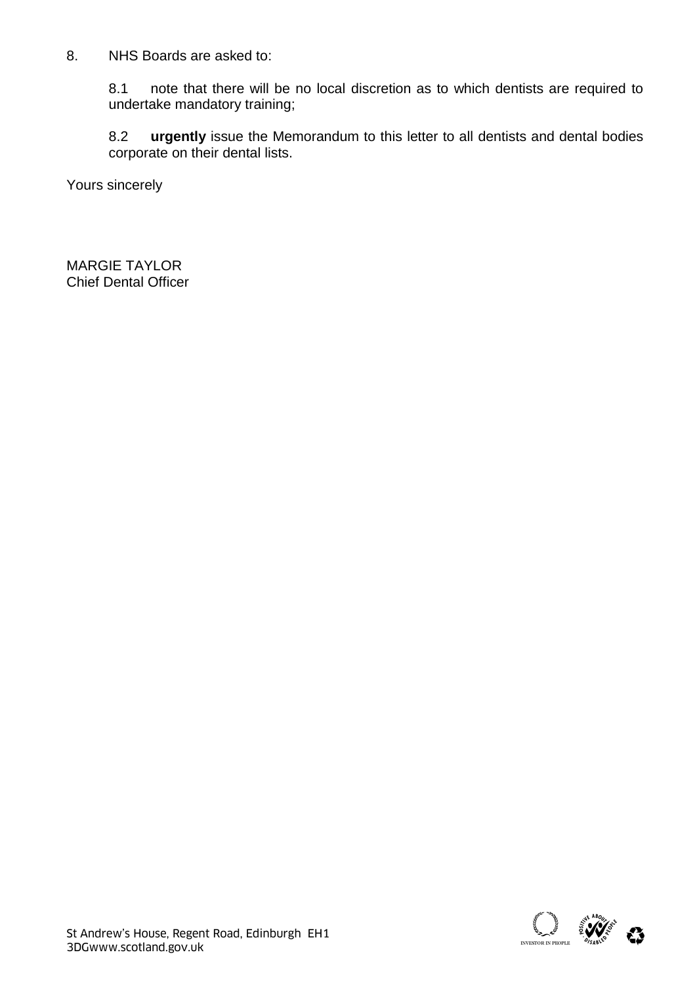8. NHS Boards are asked to:

8.1 note that there will be no local discretion as to which dentists are required to undertake mandatory training;

8.2 **urgently** issue the Memorandum to this letter to all dentists and dental bodies corporate on their dental lists.

Yours sincerely

MARGIE TAYLOR Chief Dental Officer

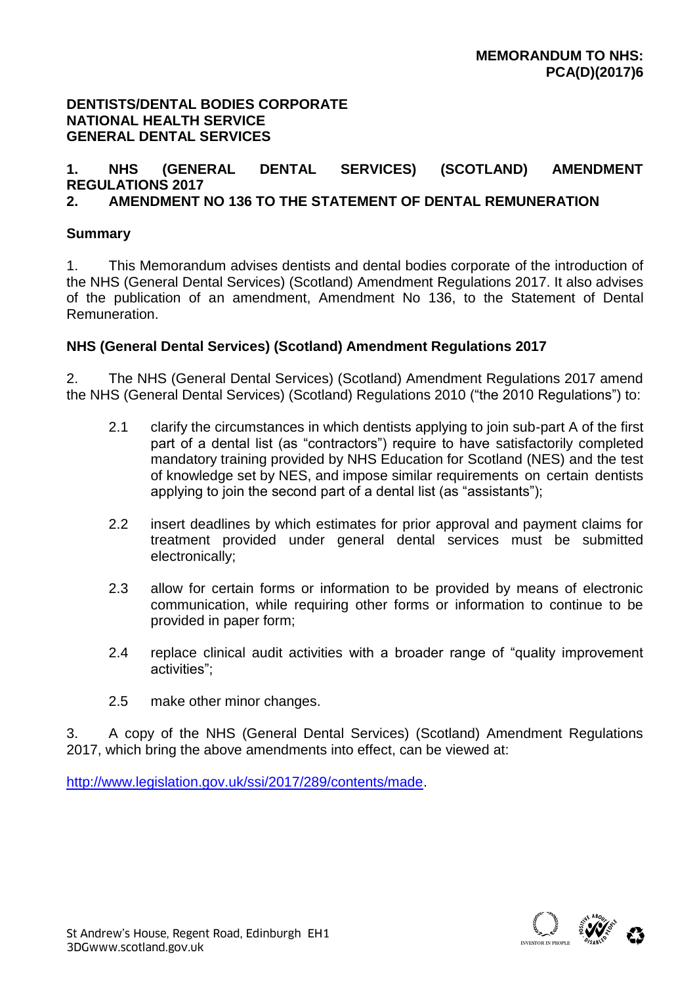#### **DENTISTS/DENTAL BODIES CORPORATE NATIONAL HEALTH SERVICE GENERAL DENTAL SERVICES**

# **1. NHS (GENERAL DENTAL SERVICES) (SCOTLAND) AMENDMENT REGULATIONS 2017**

# **2. AMENDMENT NO 136 TO THE STATEMENT OF DENTAL REMUNERATION**

### **Summary**

1. This Memorandum advises dentists and dental bodies corporate of the introduction of the NHS (General Dental Services) (Scotland) Amendment Regulations 2017. It also advises of the publication of an amendment, Amendment No 136, to the Statement of Dental Remuneration.

### **NHS (General Dental Services) (Scotland) Amendment Regulations 2017**

2. The NHS (General Dental Services) (Scotland) Amendment Regulations 2017 amend the NHS (General Dental Services) (Scotland) Regulations 2010 ("the 2010 Regulations") to:

- 2.1 clarify the circumstances in which dentists applying to join sub-part A of the first part of a dental list (as "contractors") require to have satisfactorily completed mandatory training provided by NHS Education for Scotland (NES) and the test of knowledge set by NES, and impose similar requirements on certain dentists applying to join the second part of a dental list (as "assistants");
- 2.2 insert deadlines by which estimates for prior approval and payment claims for treatment provided under general dental services must be submitted electronically;
- 2.3 allow for certain forms or information to be provided by means of electronic communication, while requiring other forms or information to continue to be provided in paper form;
- 2.4 replace clinical audit activities with a broader range of "quality improvement activities";
- 2.5 make other minor changes.

3. A copy of the NHS (General Dental Services) (Scotland) Amendment Regulations 2017, which bring the above amendments into effect, can be viewed at:

[http://www.legislation.gov.uk/ssi/2017/289/contents/made.](http://www.legislation.gov.uk/ssi/2017/289/contents/made)

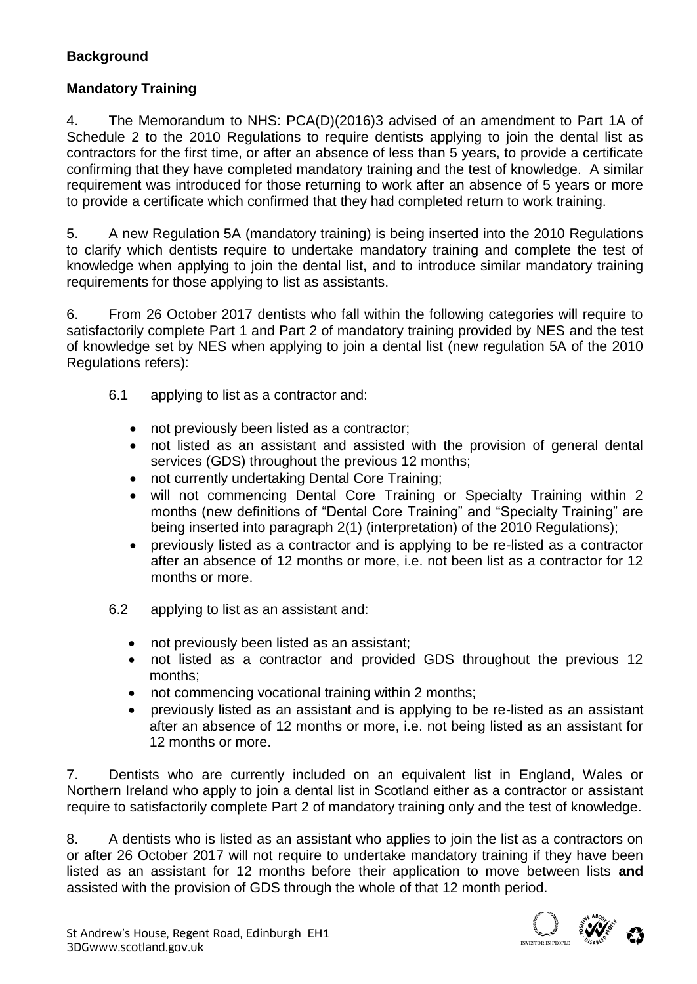# **Background**

# **Mandatory Training**

4. The Memorandum to NHS: PCA(D)(2016)3 advised of an amendment to Part 1A of Schedule 2 to the 2010 Regulations to require dentists applying to join the dental list as contractors for the first time, or after an absence of less than 5 years, to provide a certificate confirming that they have completed mandatory training and the test of knowledge. A similar requirement was introduced for those returning to work after an absence of 5 years or more to provide a certificate which confirmed that they had completed return to work training.

5. A new Regulation 5A (mandatory training) is being inserted into the 2010 Regulations to clarify which dentists require to undertake mandatory training and complete the test of knowledge when applying to join the dental list, and to introduce similar mandatory training requirements for those applying to list as assistants.

6. From 26 October 2017 dentists who fall within the following categories will require to satisfactorily complete Part 1 and Part 2 of mandatory training provided by NES and the test of knowledge set by NES when applying to join a dental list (new regulation 5A of the 2010 Regulations refers):

- 6.1 applying to list as a contractor and:
	- not previously been listed as a contractor;
	- not listed as an assistant and assisted with the provision of general dental services (GDS) throughout the previous 12 months;
	- not currently undertaking Dental Core Training;
	- will not commencing Dental Core Training or Specialty Training within 2 months (new definitions of "Dental Core Training" and "Specialty Training" are being inserted into paragraph 2(1) (interpretation) of the 2010 Regulations);
	- previously listed as a contractor and is applying to be re-listed as a contractor after an absence of 12 months or more, i.e. not been list as a contractor for 12 months or more.
- 6.2 applying to list as an assistant and:
	- not previously been listed as an assistant;
	- not listed as a contractor and provided GDS throughout the previous 12 months;
	- not commencing vocational training within 2 months;
	- previously listed as an assistant and is applying to be re-listed as an assistant after an absence of 12 months or more, i.e. not being listed as an assistant for 12 months or more.

7. Dentists who are currently included on an equivalent list in England, Wales or Northern Ireland who apply to join a dental list in Scotland either as a contractor or assistant require to satisfactorily complete Part 2 of mandatory training only and the test of knowledge.

8. A dentists who is listed as an assistant who applies to join the list as a contractors on or after 26 October 2017 will not require to undertake mandatory training if they have been listed as an assistant for 12 months before their application to move between lists **and** assisted with the provision of GDS through the whole of that 12 month period.

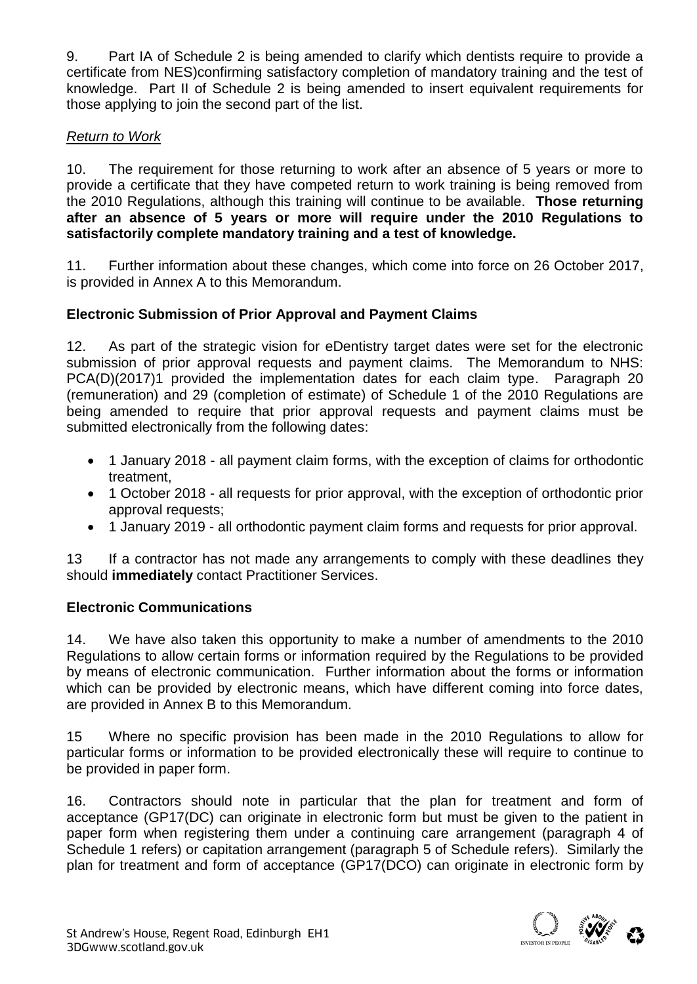9. Part IA of Schedule 2 is being amended to clarify which dentists require to provide a certificate from NES)confirming satisfactory completion of mandatory training and the test of knowledge. Part II of Schedule 2 is being amended to insert equivalent requirements for those applying to join the second part of the list.

# *Return to Work*

10. The requirement for those returning to work after an absence of 5 years or more to provide a certificate that they have competed return to work training is being removed from the 2010 Regulations, although this training will continue to be available. **Those returning after an absence of 5 years or more will require under the 2010 Regulations to satisfactorily complete mandatory training and a test of knowledge.**

11. Further information about these changes, which come into force on 26 October 2017, is provided in Annex A to this Memorandum.

# **Electronic Submission of Prior Approval and Payment Claims**

12. As part of the strategic vision for eDentistry target dates were set for the electronic submission of prior approval requests and payment claims. The Memorandum to NHS: PCA(D)(2017)1 provided the implementation dates for each claim type. Paragraph 20 (remuneration) and 29 (completion of estimate) of Schedule 1 of the 2010 Regulations are being amended to require that prior approval requests and payment claims must be submitted electronically from the following dates:

- 1 January 2018 all payment claim forms, with the exception of claims for orthodontic treatment,
- 1 October 2018 all requests for prior approval, with the exception of orthodontic prior approval requests;
- 1 January 2019 all orthodontic payment claim forms and requests for prior approval.

13 If a contractor has not made any arrangements to comply with these deadlines they should **immediately** contact Practitioner Services.

# **Electronic Communications**

14. We have also taken this opportunity to make a number of amendments to the 2010 Regulations to allow certain forms or information required by the Regulations to be provided by means of electronic communication. Further information about the forms or information which can be provided by electronic means, which have different coming into force dates, are provided in Annex B to this Memorandum.

15 Where no specific provision has been made in the 2010 Regulations to allow for particular forms or information to be provided electronically these will require to continue to be provided in paper form.

16. Contractors should note in particular that the plan for treatment and form of acceptance (GP17(DC) can originate in electronic form but must be given to the patient in paper form when registering them under a continuing care arrangement (paragraph 4 of Schedule 1 refers) or capitation arrangement (paragraph 5 of Schedule refers). Similarly the plan for treatment and form of acceptance (GP17(DCO) can originate in electronic form by

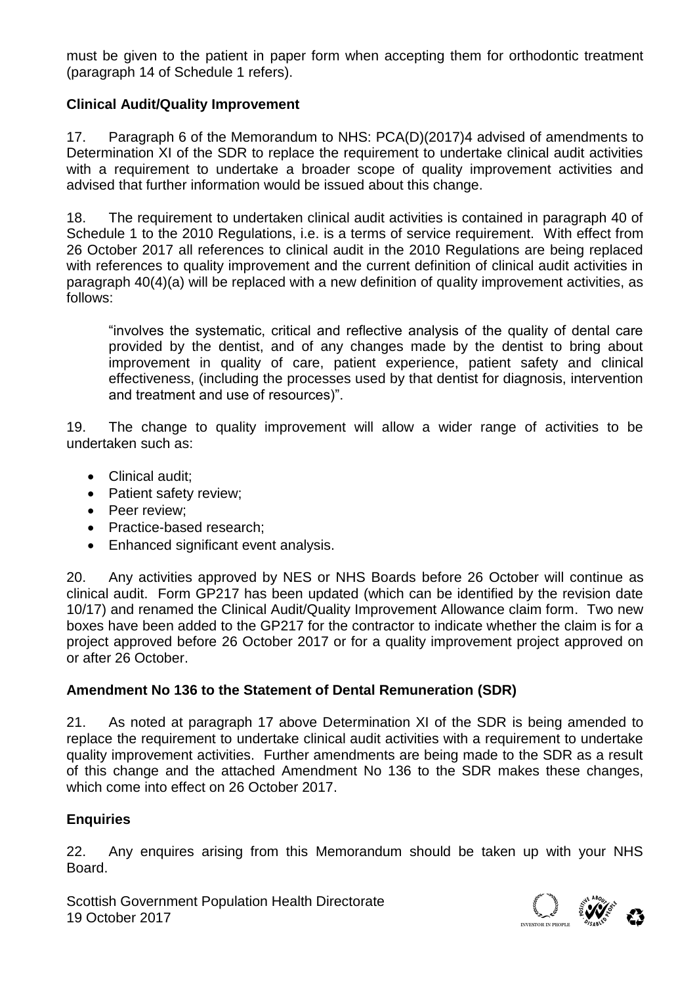must be given to the patient in paper form when accepting them for orthodontic treatment (paragraph 14 of Schedule 1 refers).

# **Clinical Audit/Quality Improvement**

17. Paragraph 6 of the Memorandum to NHS: PCA(D)(2017)4 advised of amendments to Determination XI of the SDR to replace the requirement to undertake clinical audit activities with a requirement to undertake a broader scope of quality improvement activities and advised that further information would be issued about this change.

18. The requirement to undertaken clinical audit activities is contained in paragraph 40 of Schedule 1 to the 2010 Regulations, i.e. is a terms of service requirement. With effect from 26 October 2017 all references to clinical audit in the 2010 Regulations are being replaced with references to quality improvement and the current definition of clinical audit activities in paragraph 40(4)(a) will be replaced with a new definition of quality improvement activities, as follows:

"involves the systematic, critical and reflective analysis of the quality of dental care provided by the dentist, and of any changes made by the dentist to bring about improvement in quality of care, patient experience, patient safety and clinical effectiveness, (including the processes used by that dentist for diagnosis, intervention and treatment and use of resources)".

19. The change to quality improvement will allow a wider range of activities to be undertaken such as:

- Clinical audit;
- Patient safety review;
- Peer review:
- Practice-based research:
- Enhanced significant event analysis.

20. Any activities approved by NES or NHS Boards before 26 October will continue as clinical audit. Form GP217 has been updated (which can be identified by the revision date 10/17) and renamed the Clinical Audit/Quality Improvement Allowance claim form. Two new boxes have been added to the GP217 for the contractor to indicate whether the claim is for a project approved before 26 October 2017 or for a quality improvement project approved on or after 26 October.

### **Amendment No 136 to the Statement of Dental Remuneration (SDR)**

21. As noted at paragraph 17 above Determination XI of the SDR is being amended to replace the requirement to undertake clinical audit activities with a requirement to undertake quality improvement activities. Further amendments are being made to the SDR as a result of this change and the attached Amendment No 136 to the SDR makes these changes, which come into effect on 26 October 2017.

### **Enquiries**

22. Any enquires arising from this Memorandum should be taken up with your NHS Board.

Scottish Government Population Health Directorate<br>19 October 2017

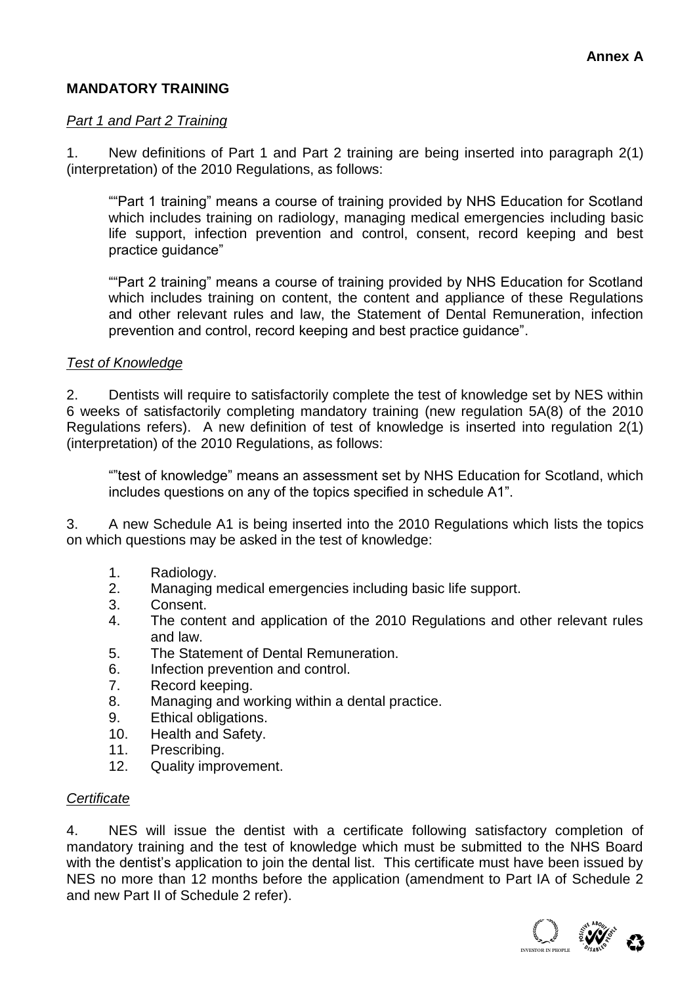# **MANDATORY TRAINING**

#### *Part 1 and Part 2 Training*

1. New definitions of Part 1 and Part 2 training are being inserted into paragraph 2(1) (interpretation) of the 2010 Regulations, as follows:

""Part 1 training" means a course of training provided by NHS Education for Scotland which includes training on radiology, managing medical emergencies including basic life support, infection prevention and control, consent, record keeping and best practice guidance"

""Part 2 training" means a course of training provided by NHS Education for Scotland which includes training on content, the content and appliance of these Regulations and other relevant rules and law, the Statement of Dental Remuneration, infection prevention and control, record keeping and best practice guidance".

### *Test of Knowledge*

2. Dentists will require to satisfactorily complete the test of knowledge set by NES within 6 weeks of satisfactorily completing mandatory training (new regulation 5A(8) of the 2010 Regulations refers). A new definition of test of knowledge is inserted into regulation 2(1) (interpretation) of the 2010 Regulations, as follows:

""test of knowledge" means an assessment set by NHS Education for Scotland, which includes questions on any of the topics specified in schedule A1".

3. A new Schedule A1 is being inserted into the 2010 Regulations which lists the topics on which questions may be asked in the test of knowledge:

- 1. Radiology.
- 2. Managing medical emergencies including basic life support.
- 3. Consent.
- 4. The content and application of the 2010 Regulations and other relevant rules and law.
- 5. The Statement of Dental Remuneration.
- 6. Infection prevention and control.
- 7. Record keeping.
- 8. Managing and working within a dental practice.
- 9. Ethical obligations.
- 10. Health and Safety.
- 11. Prescribing.
- 12. Quality improvement.

### *Certificate*

4. NES will issue the dentist with a certificate following satisfactory completion of mandatory training and the test of knowledge which must be submitted to the NHS Board with the dentist's application to join the dental list. This certificate must have been issued by NES no more than 12 months before the application (amendment to Part IA of Schedule 2 and new Part II of Schedule 2 refer).

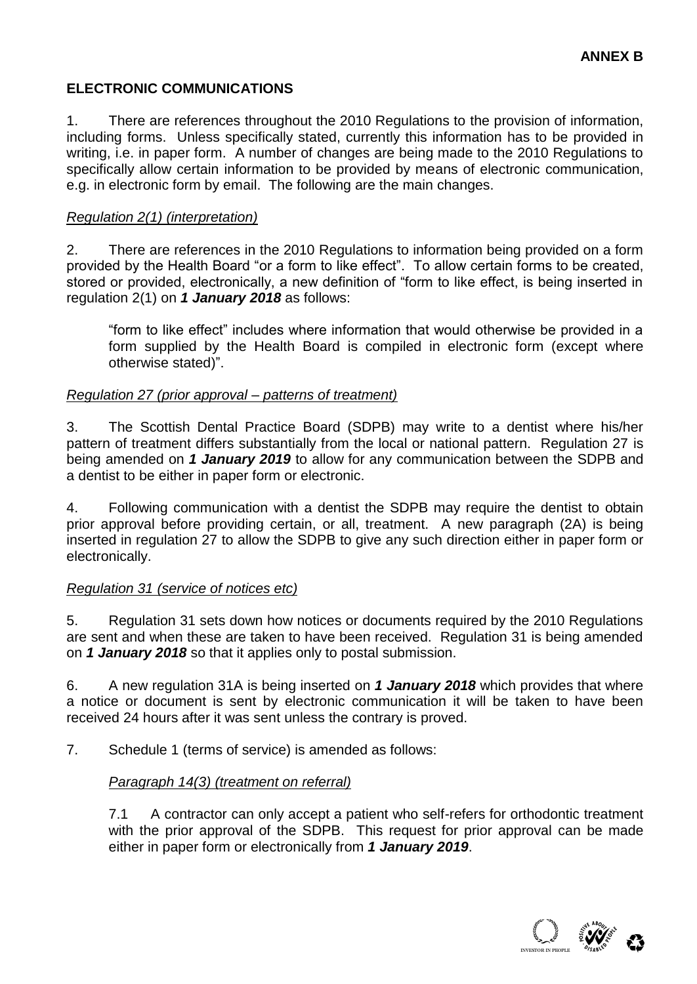### **ELECTRONIC COMMUNICATIONS**

1. There are references throughout the 2010 Regulations to the provision of information, including forms. Unless specifically stated, currently this information has to be provided in writing, i.e. in paper form. A number of changes are being made to the 2010 Regulations to specifically allow certain information to be provided by means of electronic communication, e.g. in electronic form by email. The following are the main changes.

### *Regulation 2(1) (interpretation)*

2. There are references in the 2010 Regulations to information being provided on a form provided by the Health Board "or a form to like effect". To allow certain forms to be created, stored or provided, electronically, a new definition of "form to like effect, is being inserted in regulation 2(1) on *1 January 2018* as follows:

"form to like effect" includes where information that would otherwise be provided in a form supplied by the Health Board is compiled in electronic form (except where otherwise stated)".

#### *Regulation 27 (prior approval – patterns of treatment)*

3. The Scottish Dental Practice Board (SDPB) may write to a dentist where his/her pattern of treatment differs substantially from the local or national pattern. Regulation 27 is being amended on *1 January 2019* to allow for any communication between the SDPB and a dentist to be either in paper form or electronic.

4. Following communication with a dentist the SDPB may require the dentist to obtain prior approval before providing certain, or all, treatment. A new paragraph (2A) is being inserted in regulation 27 to allow the SDPB to give any such direction either in paper form or electronically.

### *Regulation 31 (service of notices etc)*

5. Regulation 31 sets down how notices or documents required by the 2010 Regulations are sent and when these are taken to have been received. Regulation 31 is being amended on *1 January 2018* so that it applies only to postal submission.

6. A new regulation 31A is being inserted on *1 January 2018* which provides that where a notice or document is sent by electronic communication it will be taken to have been received 24 hours after it was sent unless the contrary is proved.

7. Schedule 1 (terms of service) is amended as follows:

### *Paragraph 14(3) (treatment on referral)*

7.1 A contractor can only accept a patient who self-refers for orthodontic treatment with the prior approval of the SDPB. This request for prior approval can be made either in paper form or electronically from *1 January 2019*.

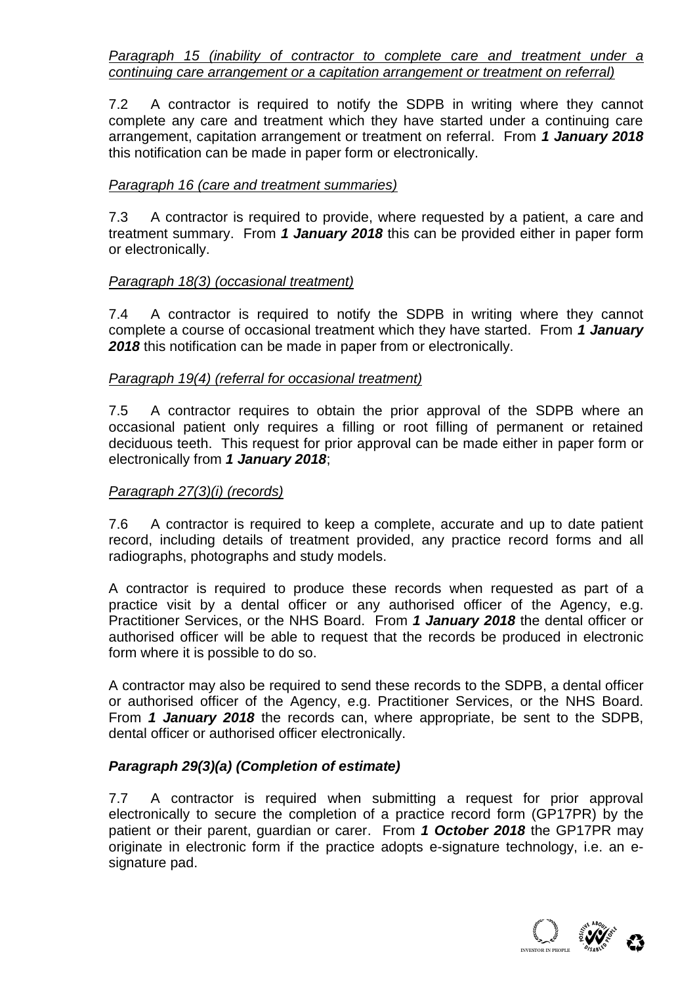*Paragraph 15 (inability of contractor to complete care and treatment under a continuing care arrangement or a capitation arrangement or treatment on referral)* 

7.2 A contractor is required to notify the SDPB in writing where they cannot complete any care and treatment which they have started under a continuing care arrangement, capitation arrangement or treatment on referral. From *1 January 2018* this notification can be made in paper form or electronically.

### *Paragraph 16 (care and treatment summaries)*

7.3 A contractor is required to provide, where requested by a patient, a care and treatment summary. From *1 January 2018* this can be provided either in paper form or electronically.

### *Paragraph 18(3) (occasional treatment)*

7.4 A contractor is required to notify the SDPB in writing where they cannot complete a course of occasional treatment which they have started. From *1 January 2018* this notification can be made in paper from or electronically.

#### *Paragraph 19(4) (referral for occasional treatment)*

7.5 A contractor requires to obtain the prior approval of the SDPB where an occasional patient only requires a filling or root filling of permanent or retained deciduous teeth. This request for prior approval can be made either in paper form or electronically from *1 January 2018*;

#### *Paragraph 27(3)(i) (records)*

7.6 A contractor is required to keep a complete, accurate and up to date patient record, including details of treatment provided, any practice record forms and all radiographs, photographs and study models.

A contractor is required to produce these records when requested as part of a practice visit by a dental officer or any authorised officer of the Agency, e.g. Practitioner Services, or the NHS Board. From *1 January 2018* the dental officer or authorised officer will be able to request that the records be produced in electronic form where it is possible to do so.

A contractor may also be required to send these records to the SDPB, a dental officer or authorised officer of the Agency, e.g. Practitioner Services, or the NHS Board. From *1 January 2018* the records can, where appropriate, be sent to the SDPB, dental officer or authorised officer electronically.

### *Paragraph 29(3)(a) (Completion of estimate)*

7.7 A contractor is required when submitting a request for prior approval electronically to secure the completion of a practice record form (GP17PR) by the patient or their parent, guardian or carer. From *1 October 2018* the GP17PR may originate in electronic form if the practice adopts e-signature technology, i.e. an esignature pad.

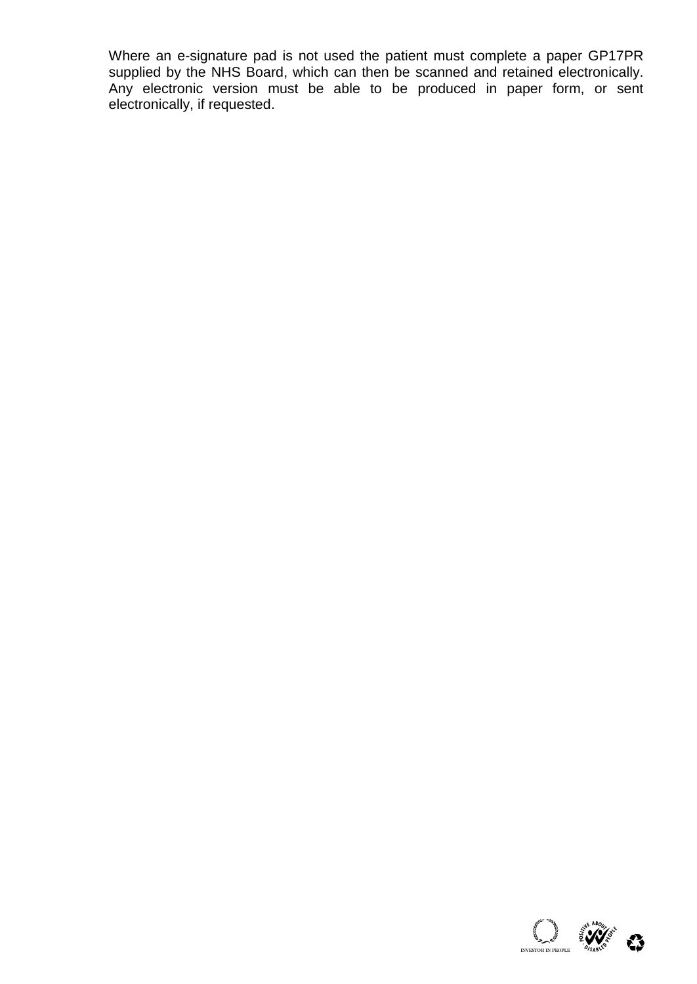Where an e-signature pad is not used the patient must complete a paper GP17PR supplied by the NHS Board, which can then be scanned and retained electronically. Any electronic version must be able to be produced in paper form, or sent electronically, if requested.